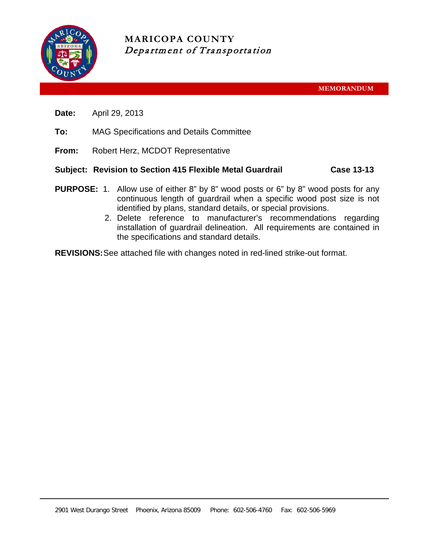

**MARICOPA COUNTY** Department of Transportation

**MEMORANDUM**

- **Date:** April 29, 2013
- **To:** MAG Specifications and Details Committee
- **From:** Robert Herz, MCDOT Representative

# **Subject: Revision to Section 415 Flexible Metal Guardrail Case 13-13**

- **PURPOSE:** 1. Allow use of either 8" by 8" wood posts or 6" by 8" wood posts for any continuous length of guardrail when a specific wood post size is not identified by plans, standard details, or special provisions.
	- 2. Delete reference to manufacturer's recommendations regarding installation of guardrail delineation. All requirements are contained in the specifications and standard details.

**REVISIONS:**See attached file with changes noted in red-lined strike-out format.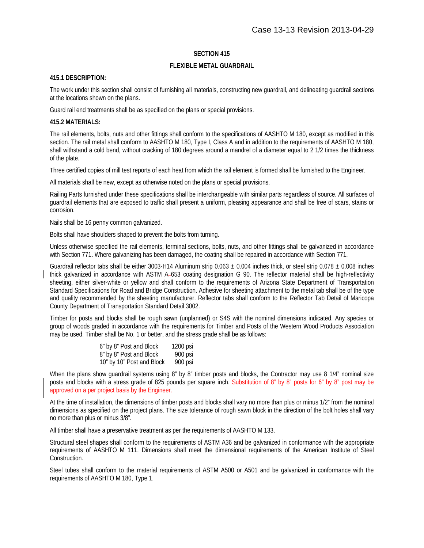## **SECTION 415**

### **FLEXIBLE METAL GUARDRAIL**

#### **415.1 DESCRIPTION:**

The work under this section shall consist of furnishing all materials, constructing new guardrail, and delineating guardrail sections at the locations shown on the plans.

Guard rail end treatments shall be as specified on the plans or special provisions.

### **415.2 MATERIALS:**

The rail elements, bolts, nuts and other fittings shall conform to the specifications of AASHTO M 180, except as modified in this section. The rail metal shall conform to AASHTO M 180, Type I, Class A and in addition to the requirements of AASHTO M 180, shall withstand a cold bend, without cracking of 180 degrees around a mandrel of a diameter equal to 2 1/2 times the thickness of the plate.

Three certified copies of mill test reports of each heat from which the rail element is formed shall be furnished to the Engineer.

All materials shall be new, except as otherwise noted on the plans or special provisions.

Railing Parts furnished under these specifications shall be interchangeable with similar parts regardless of source. All surfaces of guardrail elements that are exposed to traffic shall present a uniform, pleasing appearance and shall be free of scars, stains or corrosion.

Nails shall be 16 penny common galvanized.

Bolts shall have shoulders shaped to prevent the bolts from turning.

Unless otherwise specified the rail elements, terminal sections, bolts, nuts, and other fittings shall be galvanized in accordance with Section 771. Where galvanizing has been damaged, the coating shall be repaired in accordance with Section 771.

Guardrail reflector tabs shall be either 3003-H14 Aluminum strip  $0.063 \pm 0.004$  inches thick, or steel strip  $0.078 \pm 0.008$  inches thick galvanized in accordance with ASTM A-653 coating designation G 90. The reflector material shall be high-reflectivity sheeting, either silver-white or yellow and shall conform to the requirements of Arizona State Department of Transportation Standard Specifications for Road and Bridge Construction. Adhesive for sheeting attachment to the metal tab shall be of the type and quality recommended by the sheeting manufacturer. Reflector tabs shall conform to the Reflector Tab Detail of Maricopa County Department of Transportation Standard Detail 3002.

Timber for posts and blocks shall be rough sawn (unplanned) or S4S with the nominal dimensions indicated. Any species or group of woods graded in accordance with the requirements for Timber and Posts of the Western Wood Products Association may be used. Timber shall be No. 1 or better, and the stress grade shall be as follows:

| 6" by 8" Post and Block   | 1200 psi |
|---------------------------|----------|
| 8" by 8" Post and Block   | 900 psi  |
| 10" by 10" Post and Block | 900 psi  |

When the plans show guardrail systems using 8" by 8" timber posts and blocks, the Contractor may use 8 1/4" nominal size posts and blocks with a stress grade of 825 pounds per square inch. Substitution of 8" by 8" posts for 6" by 8" post may be approved on a per project basis by the Engineer.

At the time of installation, the dimensions of timber posts and blocks shall vary no more than plus or minus 1/2" from the nominal dimensions as specified on the project plans. The size tolerance of rough sawn block in the direction of the bolt holes shall vary no more than plus or minus 3/8".

All timber shall have a preservative treatment as per the requirements of AASHTO M 133.

Structural steel shapes shall conform to the requirements of ASTM A36 and be galvanized in conformance with the appropriate requirements of AASHTO M 111. Dimensions shall meet the dimensional requirements of the American Institute of Steel Construction.

Steel tubes shall conform to the material requirements of ASTM A500 or A501 and be galvanized in conformance with the requirements of AASHTO M 180, Type 1.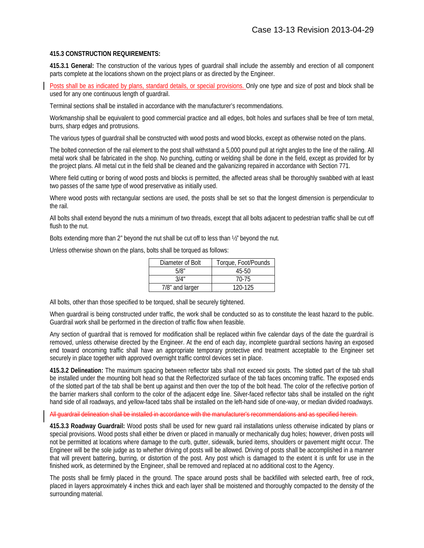# **415.3 CONSTRUCTION REQUIREMENTS:**

**415.3.1 General:** The construction of the various types of guardrail shall include the assembly and erection of all component parts complete at the locations shown on the project plans or as directed by the Engineer.

Posts shall be as indicated by plans, standard details, or special provisions. Only one type and size of post and block shall be used for any one continuous length of guardrail.

Terminal sections shall be installed in accordance with the manufacturer's recommendations.

Workmanship shall be equivalent to good commercial practice and all edges, bolt holes and surfaces shall be free of torn metal, burrs, sharp edges and protrusions.

The various types of guardrail shall be constructed with wood posts and wood blocks, except as otherwise noted on the plans.

The bolted connection of the rail element to the post shall withstand a 5,000 pound pull at right angles to the line of the railing. All metal work shall be fabricated in the shop. No punching, cutting or welding shall be done in the field, except as provided for by the project plans. All metal cut in the field shall be cleaned and the galvanizing repaired in accordance with Section 771.

Where field cutting or boring of wood posts and blocks is permitted, the affected areas shall be thoroughly swabbed with at least two passes of the same type of wood preservative as initially used.

Where wood posts with rectangular sections are used, the posts shall be set so that the longest dimension is perpendicular to the rail.

All bolts shall extend beyond the nuts a minimum of two threads, except that all bolts adjacent to pedestrian traffic shall be cut off flush to the nut.

Bolts extending more than 2" beyond the nut shall be cut off to less than  $\frac{1}{2}$ " beyond the nut.

Unless otherwise shown on the plans, bolts shall be torqued as follows:

| Diameter of Bolt | Torque, Foot/Pounds |
|------------------|---------------------|
| 5/8"             | 45-50               |
| 3/4"             | 70-75               |
| 7/8" and larger  | 120-125             |

All bolts, other than those specified to be torqued, shall be securely tightened.

When guardrail is being constructed under traffic, the work shall be conducted so as to constitute the least hazard to the public. Guardrail work shall be performed in the direction of traffic flow when feasible.

Any section of guardrail that is removed for modification shall be replaced within five calendar days of the date the guardrail is removed, unless otherwise directed by the Engineer. At the end of each day, incomplete guardrail sections having an exposed end toward oncoming traffic shall have an appropriate temporary protective end treatment acceptable to the Engineer set securely in place together with approved overnight traffic control devices set in place.

**415.3.2 Delineation:** The maximum spacing between reflector tabs shall not exceed six posts. The slotted part of the tab shall be installed under the mounting bolt head so that the Reflectorized surface of the tab faces oncoming traffic. The exposed ends of the slotted part of the tab shall be bent up against and then over the top of the bolt head. The color of the reflective portion of the barrier markers shall conform to the color of the adjacent edge line. Silver-faced reflector tabs shall be installed on the right hand side of all roadways, and yellow-faced tabs shall be installed on the left-hand side of one-way, or median divided roadways.

### All guardrail delineation shall be installed in accordance with the manufacturer's recommendations and as specified herein.

**415.3.3 Roadway Guardrail:** Wood posts shall be used for new guard rail installations unless otherwise indicated by plans or special provisions. Wood posts shall either be driven or placed in manually or mechanically dug holes; however, driven posts will not be permitted at locations where damage to the curb, gutter, sidewalk, buried items, shoulders or pavement might occur. The Engineer will be the sole judge as to whether driving of posts will be allowed. Driving of posts shall be accomplished in a manner that will prevent battering, burring, or distortion of the post. Any post which is damaged to the extent it is unfit for use in the finished work, as determined by the Engineer, shall be removed and replaced at no additional cost to the Agency.

The posts shall be firmly placed in the ground. The space around posts shall be backfilled with selected earth, free of rock, placed in layers approximately 4 inches thick and each layer shall be moistened and thoroughly compacted to the density of the surrounding material.